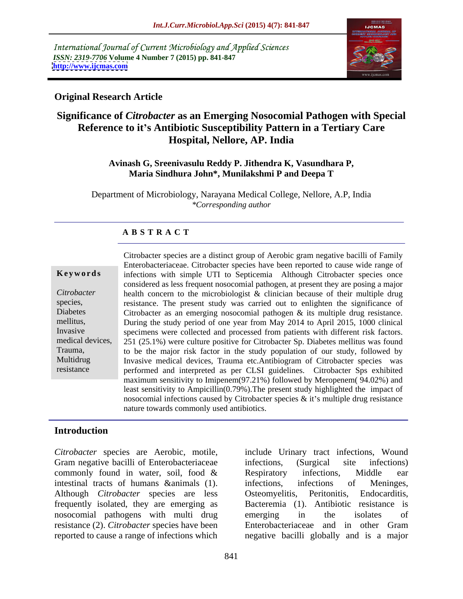International Journal of Current Microbiology and Applied Sciences *ISSN: 2319-7706* **Volume 4 Number 7 (2015) pp. 841-847 <http://www.ijcmas.com>**



## **Original Research Article**

# **Significance of** *Citrobacter* **as an Emerging Nosocomial Pathogen with Special Reference to it s Antibiotic Susceptibility Pattern in a Tertiary Care Hospital, Nellore, AP. India**

### **Avinash G, Sreenivasulu Reddy P. Jithendra K, Vasundhara P, Maria Sindhura John\*, Munilakshmi P and Deepa T**

Department of Microbiology, Narayana Medical College, Nellore, A.P, India *\*Corresponding author*

### **A B S T R A C T**

resistance

Citrobacter species are a distinct group of Aerobic gram negative bacilli of Family Enterobacteriaceae. Citrobacter species have been reported to cause wide range of **Keywords** infections with simple UTI to Septicemia Although Citrobacter species once considered as less frequent nosocomial pathogen, at present they are posing a major health concern to the microbiologist & clinician because of their multiple drug *Citrobacter* species, resistance. The present study was carried out to enlighten the significance of Diabetes Citrobacter as an emerging nosocomial pathogen & its multiple drug resistance. mellitus, During the study period of one year from May 2014 to April 2015, 1000 clinical specimens were collected and processed from patients with different risk factors.251 (25.1%) were culture positive for Citrobacter Sp. Diabetes mellitus was found Trauma, to be the major risk factor in the study population of our study, followed by<br>
Multidrug Invasive medical devices, Trauma etc.Antibiogram of Citrobacter species was Invasive medical devices, Trauma etc.Antibiogram of Citrobacter species was performed and interpreted as per CLSI guidelines. Citrobacter Sps exhibited maximum sensitivity to Imipenem(97.21%) followed by Meropenem( 94.02%) and least sensitivity to Ampicillin(0.79%).The present study highlighted the impact of nosocomial infections caused by Citrobacter species  $\&$  it's multiple drug resistance nature towards commonly used antibiotics. Invasive specimens were collected and processed from patients with different risk factors. medical devices,  $\begin{bmatrix} 251 & (25.1\%)$  were culture positive for Citrobacter Sp. Diabetes mellitus was found

# **Introduction**

Gram negative bacilli of Enterobacteriaceae infections, (Surgical site infections) commonly found in water, soil, food & Respiratory infections, Middle ear intestinal tracts of humans &animals (1). Although *Citrobacter* species are less nosocomial pathogens with multi drug emerging in the isolates of resistance (2). *Citrobacter* species have been

*Citrobacter* species are Aerobic, motile, include Urinary tract infections, Wound frequently isolated, they are emerging as Bacteremia (1). Antibiotic resistance is reported to cause a range of infections which negative bacilli globally and is a major infections, (Surgical site infections) Respiratory infections, Middle ear infections, infections of Meninges, Peritonitis, Endocarditis, emerging in the isolates of Enterobacteriaceae and in other Gram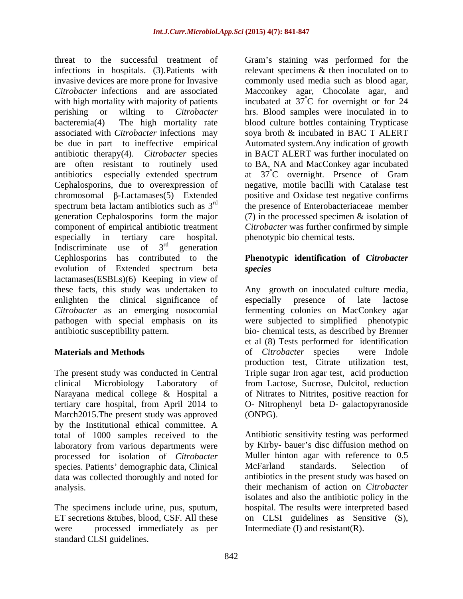threat to the successful treatment of Gram's staining was performed for the infections in hospitals. (3).Patients with invasive devices are more prone for Invasive commonly used media such as blood agar, *Citrobacter* infections and are associated Macconkey agar, Chocolate agar, and with high mortality with majority of patients incubated at 37 °C for overnight or for 24 perishing or wilting to *Citrobacter* hrs. Blood samples were inoculated in to bacteremia(4) The high mortality rate blood culture bottles containing Trypticase associated with *Citrobacter* infections may be due in part to ineffective empirical Automated system.Any indication of growth antibiotic therapy(4). *Citrobacter* species are often resistant to routinely used to BA, NA and MacConkey agar incubated antibiotics especially extended spectrum at  $37^{\circ}$ C overnight. Prsence of Gram Cephalosporins, due to overexpression of negative, motile bacilli with Catalase test  $chromosomal$   $\beta$ -Lactamases(5) Extended positive and Oxidase test negative confirms spectrum beta lactam antibiotics such as  $3<sup>rd</sup>$  the presence of Enterobacteriaceae member generation Cephalosporins form the major (7) in the processed specimen & isolation of component of empirical antibiotic treatment *Citrobacter* was further confirmed by simple especially in tertiary care hospital. phenotypic bio chemical tests. Indiscriminate use of  $3^{rd}$  generation rd concretion generation **generation** Cephlosporins has contributed to the **Phenotypic identification of** *Citrobacter* evolution of Extended spectrum beta lactamases(ESBLs)(6) Keeping in view of these facts, this study was undertaken to enlighten the clinical significance of especially presence of late lactose *Citrobacter* as an emerging nosocomial fermenting colonies on MacConkey agar pathogen with special emphasis on its were subjected to simplified phenotypic antibiotic susceptibility pattern. bio- chemical tests, as described by Brenner

The present study was conducted in Central Triple sugar Iron agar test, acid production clinical Microbiology Laboratory of from Lactose, Sucrose, Dulcitol, reduction Narayana medical college & Hospital a tertiary care hospital, from April 2014 to O- Nitrophenyl beta D- galactopyranoside March2015. The present study was approved (ONPG). by the Institutional ethical committee. A total of 1000 samples received to the processed for isolation of *Citrobacter* Muller hinton agar with reference to<br>species Patients' demographic data Clinical McFarland standards. Selection species. Patients' demographic data, Clinical McFarland standards. Selection of data was collected thoroughly and noted for

were processed immediately as per standard CLSI guidelines.

relevant specimens & then inoculated on to °C for overnight or for 24 soya broth & incubated in BAC T ALERT in BACT ALERT was further inoculated on °C overnight. Prsence of Gram

# *species*

**Materials and Methods Solution Constanting Constanting Constanting Constanting Constanting Constanting Constanting Constanting Constanting Constanting Constanting Constanting Constanting Constanting Constanting Consta** Any growth on inoculated culture media, especially presence of late lactose et al (8) Tests performed for identification of *Citrobacter* species were Indole production test, Citrate utilization test, of Nitrates to Nitrites, positive reaction for

laboratory from various departments were by Kirby-bauer's disc diffusion method on analysis. their mechanism of action on *Citrobacter* The specimens include urine, pus, sputum, hospital. The results were interpreted based ET secretions &tubes, blood, CSF. All these on CLSI guidelines as Sensitive (S), (ONPG). Antibiotic sensitivity testing was performed Muller hinton agar with reference to 0.5 McFarland standards. Selection of antibiotics in the present study was based on isolates and also the antibiotic policy in the Intermediate (I) and resistant(R).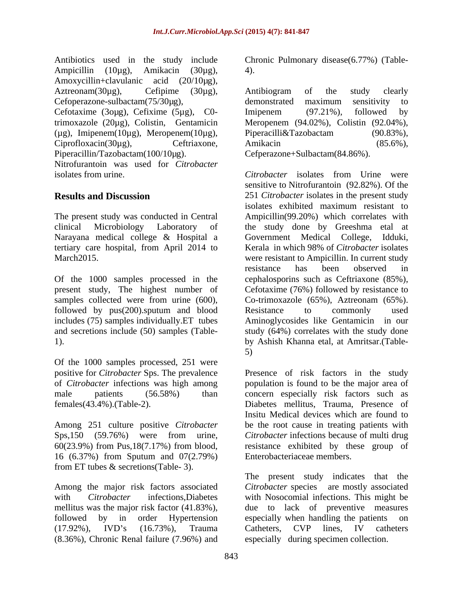Antibiotics used in the study include Chronic Pulmonary disease(6.77%) (Table- Ampicillin (10μg), Amikacin (30μg), 4). Amoxycillin+clavulanic acid (20/10µg), Cefoperazone-sulbactam(75/30µg), demonstrated maximum sensitivity to

Cefotaxime (3oµg), Cefixime (5µg), C0-<br>Imipenem (97.21%), followed by  $(\mu g)$ , Imipenem(10 $\mu g$ ), Meropenem(10 $\mu g$ ), Piperacilli&Tazobactam (90.83%), Ciprofloxacin(30µg), Ceftriaxone, Amikacin (85.6%), Piperacillin/Tazobactam(100/10µg).

Nitrofurantoin was used for *Citrobacter* isolates from urine. The contract isolates from Urine were

followed by  $pus(200)$ . sputum and blood Resistance to commonly used

Of the 1000 samples processed, 251 were

Among 251 culture positive *Citrobacter* 60(23.9%) from Pus,18(7.17%) from blood, 16 (6.37%) from Sputum and 07(2.79%) from ET tubes & secretions(Table- 3).

followed by in order Hypertension especially when handling the patients on (8.36%), Chronic Renal failure (7.96%) and

4).

Aztreonam(30µg), Cefipime (30µg), trimoxazole (20µg), Colistin, Gentamicin Meropenem (94.02%), Colistin (92.04%), Antibiogram of the study clearly demonstrated maximum sensitivity to Imipenem (97.21%), followed by Piperacilli&Tazobactam (90.83%), Amikacin (85.6%), Cefperazone+Sulbactam(84.86%).

**Results and Discussion** 251 *Citrobacter* isolates in the present study The present study was conducted in Central Ampicillin(99.20%) which correlates with clinical Microbiology Laboratory of the study done by Greeshma etal at Narayana medical college & Hospital a Government Medical College, Idduki, tertiary care hospital, from April 2014 to Kerala in which 98% of *Citrobacter* isolates March2015. were resistant to Ampicillin. In current study Of the 1000 samples processed in the cephalosporins such as Ceftriaxone (85%), present study, The highest number of Cefotaxime (76%) followed by resistance to samples collected were from urine (600), Co-trimoxazole (65%), Aztreonam (65%). includes (75) samples individually.ET tubes Aminoglycosides like Gentamicin in our and secretions include (50) samples (Table- study (64%) correlates with the study done 1). by Ashish Khanna etal, at Amritsar.(Table- *Citrobacter* isolates from Urine were sensitive to Nitrofurantoin (92.82%). Of the isolates exhibited maximum resistant to resistance has been observed in Resistance to commonly used 5)

positive for *Citrobacter* Sps. The prevalence Presence of risk factors in the study of *Citrobacter* infections was high among population is found to be the major area of male patients (56.58%) than concern especially risk factors such as females(43.4%).(Table-2). Diabetes mellitus, Trauma, Presence of Sps,150 (59.76%) were from urine, *Citrobacter* infections because of multi drug Insitu Medical devices which are found to be the root cause in treating patients with resistance exhibited by these group of Enterobacteriaceae members.

Among the major risk factors associated *Citrobacter* species are mostly associated with *Citrobacter* infections, Diabetes with Nosocomial infections. This might be mellitus was the major risk factor (41.83%), due to lack of preventive measures (17.92%), IVD's (16.73%), Trauma Catheters, CVP lines, IV catheters The present study indicates that the especially when handling the patients Catheters, CVP lines, IV catheters especially during specimen collection.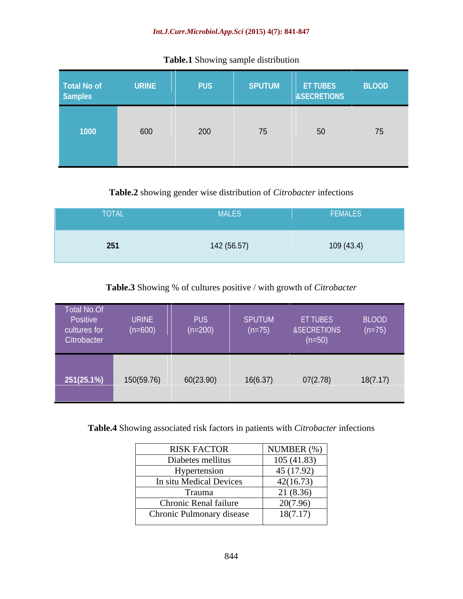### *Int.J.Curr.Microbiol.App.Sci* **(2015) 4(7): 841-847**

| Total No of<br>Samples<br><b>URINE</b><br><b>PUS</b> | SPUTUM |    |    |
|------------------------------------------------------|--------|----|----|
| 600<br>200<br>$\sqrt{1000}$                          | 75     | 50 | 75 |

# **Table.1** Showing sample distribution

# **Table.2** showing gender wise distribution of *Citrobacter* infections

| MALES<br>____<br><b>YOTAL</b><br>and the state of the state of the state of the state of the state of the state of the state of the state of th | FEMALES    |
|-------------------------------------------------------------------------------------------------------------------------------------------------|------------|
| 142 (56.57)<br>251                                                                                                                              | 109 (43.4) |

# **Table.3** Showing % of cultures positive / with growth of *Citrobacter*

**Table.4** Showing associated risk factors in patients with *Citrobacter* infections

| <b>RISK FACTOR</b>           | NUMBER $(\%)$ |
|------------------------------|---------------|
| Diabetes mellitus            | 105(41.83)    |
| Hypertension                 | 45(17.92)     |
| In situ Medical Devices      | 42(16.73)     |
| Frauma                       | 21 (8.36)     |
| <b>Chronic Renal failure</b> | 20(7.96)      |
| Chronic Pulmonary disease    | 18(7.17)      |
|                              |               |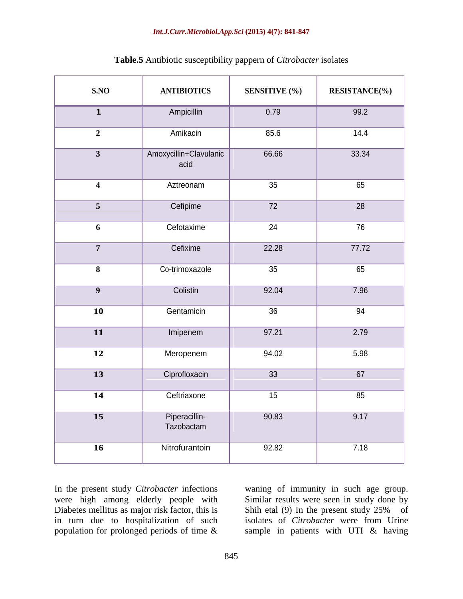### *Int.J.Curr.Microbiol.App.Sci* **(2015) 4(7): 841-847**

| SNO                     | <b>ANTIBIOTICS</b>             | <b>SENSITIVE</b> (%) | <b>RESISTANCE(%)</b> |
|-------------------------|--------------------------------|----------------------|----------------------|
| $\mathbf 1$             | Ampicillin                     | 0.79                 | 99.2                 |
| $\overline{\mathbf{c}}$ | Amikacin                       | 85.6                 | 14.4                 |
| $\overline{\mathbf{3}}$ | Amoxycillin+Clavulanic<br>acid | 66.66                | 33.34                |
| $\overline{4}$          | Aztreonam                      | 35                   | 65                   |
| 5 <sup>5</sup>          | Cefipime                       | 72                   | $\overline{28}$      |
| 6                       | Cefotaxime                     | $\overline{24}$      | 76                   |
| $7\overline{ }$         | Cefixime                       | 22.28                | 77.72                |
| $\boldsymbol{8}$        | Co-trimoxazole                 | 35                   | 65                   |
| 9                       | Colistin                       | 92.04                | 7.96                 |
| <b>10</b>               | Gentamicin                     | 36                   | 94                   |
| 11                      | Imipenem                       | 97.21                | 2.79                 |
| <b>12</b>               | Meropenem                      | 94.02                | 5.98                 |
| 13                      | Ciprofloxacin                  | $\overline{33}$      | 67                   |
| 14                      | Ceftriaxone                    | 15                   | 85                   |
| 15                      | Piperacillin-<br>Tazobactam    | 90.83                | 9.17                 |
| 16                      | Nitrofurantoin                 | 92.82                | 7.18                 |
|                         |                                |                      |                      |

# **Table.5** Antibiotic susceptibility pappern of *Citrobacter* isolates

In the present study *Citrobacter* infections waning of immunity in such age group. were high among elderly people with<br>Diabetes mellitus as major risk factor, this is<br>Shih etal (9) In the present study 25% Diabetes mellitus as major risk factor, this is<br>
in turn due to hospitalization of such<br>
isolates of *Citrobacter* were from Urine in turn due to hospitalization of such isolates of *Citrobacter* were from Urine population for prolonged periods of time & sample in patients with UTI & having

Similar results were seen in study done by Shih etal (9) In the present study 25% of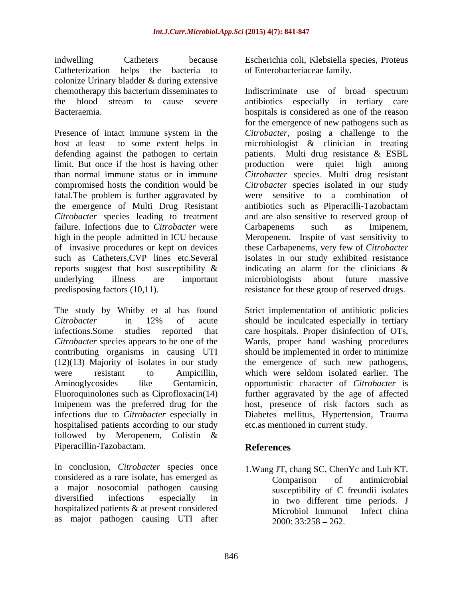indwelling Catheters because Escherichia coli, Klebsiella species, Proteus Catheterization helps the bacteria to of Enterobacteriaceae family. colonize Urinary bladder & during extensive

limit. But once if the host is having other production were quiet high among fatal.The problem is further aggravated by the emergence of Multi Drug Resistant failure. Infections due to *Citrobacter* were Carbapenems such as Imipenem, of invasive procedures or kept on devices predisposing factors (10,11). resistance for these group of reserved drugs.

hospitalised patients according to our study followed by Meropenem, Colistin & Piperacillin-Tazobactam.

In conclusion, *Citrobacter* species once considered as a rare isolate, has emerged as <br>Comparison of antimicrobial a major nosocomial pathogen causing diversified infections especially in in two different time periods. J hospitalized patients & at present considered<br>
Microbiol Immunol Infect china as major pathogen causing UTI after

of Enterobacteriaceae family.

chemotherapy this bacterium disseminates to Indiscriminate use of broad spectrum the blood stream to cause severe antibiotics especially in tertiary care Bacteraemia. hospitals is considered as one of the reason Presence of intact immune system in the *Citrobacter*, posing a challenge to the host at least to some extent helps in microbiologist & clinician in treating defending against the pathogen to certain patients. Multi drug resistance & ESBL than normal immune status or in immune *Citrobacter* species. Multi drug resistant compromised hosts the condition would be *Citrobacter* species isolated in our study *Citrobacter* species leading to treatment and are also sensitive to reserved group of high in the people admitted in ICU because Meropenem. Inspite of vast sensitivity to such as Catheters,CVP lines etc.Several isolates in our study exhibited resistance reports suggest that host susceptibility  $\&$  indicating an alarm for the clinicians  $\&$ underlying illness are important for the emergence of new pathogens such as production were quiet high among were sensitive to a combination of antibiotics such as Piperacilli-Tazobactam Carbapenems such as Imipenem, these Carbapenems, very few of *Citrobacter* indicating an alarm for the clinicians & microbiologists about future massive

The study by Whitby et al has found Strict implementation of antibiotic policies *Citrobacter* in 12% of acute should be inculcated especially in tertiary infections.Some studies reported that care hospitals. Proper disinfection of OTs, *Citrobacter* species appears to be one of the Wards, proper hand washing procedures contributing organisms in causing UTI should be implemented in order to minimize (12)(13) Majority of isolates in our study the emergence of such new pathogens, were resistant to Ampicillin, which were seldom isolated earlier. The Aminoglycosides like Gentamicin, opportunistic character of *Citrobacter* is Fluoroquinolones such as Ciprofloxacin(14) further aggravated by the age of affected Imipenem was the preferred drug for the host, presence of risk factors such as infections due to *Citrobacter* especially in Diabetes mellitus, Hypertension, Trauma etc.as mentioned in current study.

# **References**

1.Wang JT, chang SC, ChenYc and Luh KT. Comparison of antimicrobial susceptibility of C freundii isolates Microbiol Immunol Infect china  $2000: 33:258 - 262.$